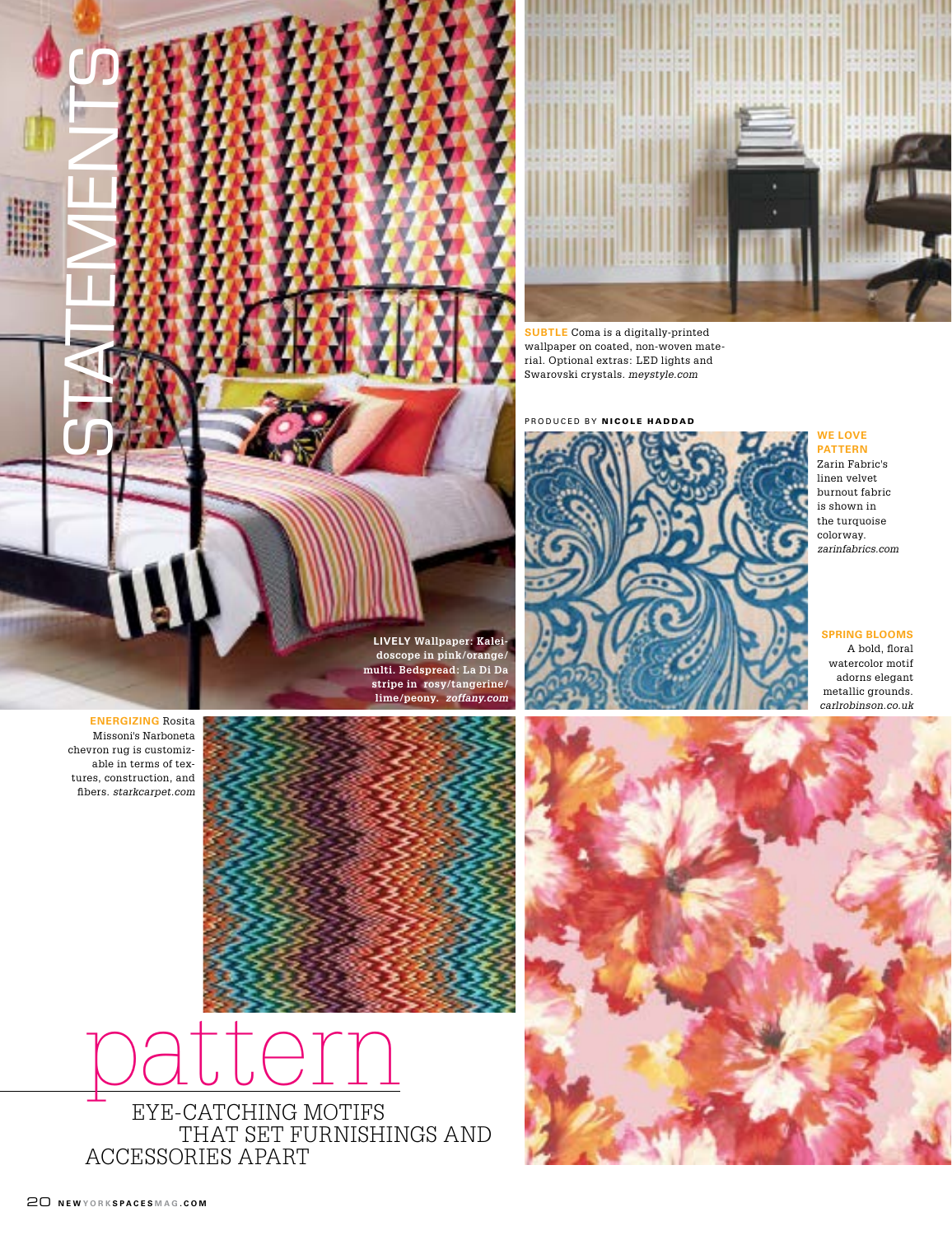



**SUBTLE** Coma is a digitally-printed wallpaper on coated, non-woven material. Optional extras: LED lights and Swarovski crystals*. meystyle.com*

produced by nicole haddad



**we love pattern** 

Zarin Fabric's linen velvet burnout fabric is shown in the turquoise colorway. *zarinfabrics.com*

# **spring blooms**

A bold, floral watercolor motif adorns elegant metallic grounds. *carlrobinson.co.uk*

**energizing** Rosita Missoni's Narboneta chevron rug is customizable in terms of textures, construction, and fibers. *starkcarpet.com*



**lively Wallpaper: Kaleidoscope in pink/orange/ multi. Bedspread: La Di Da stripe in rosy/tangerine/ lime/peony.** *zoffany.com*

pattern eye-catching motifs that set furnishings and accessories apart

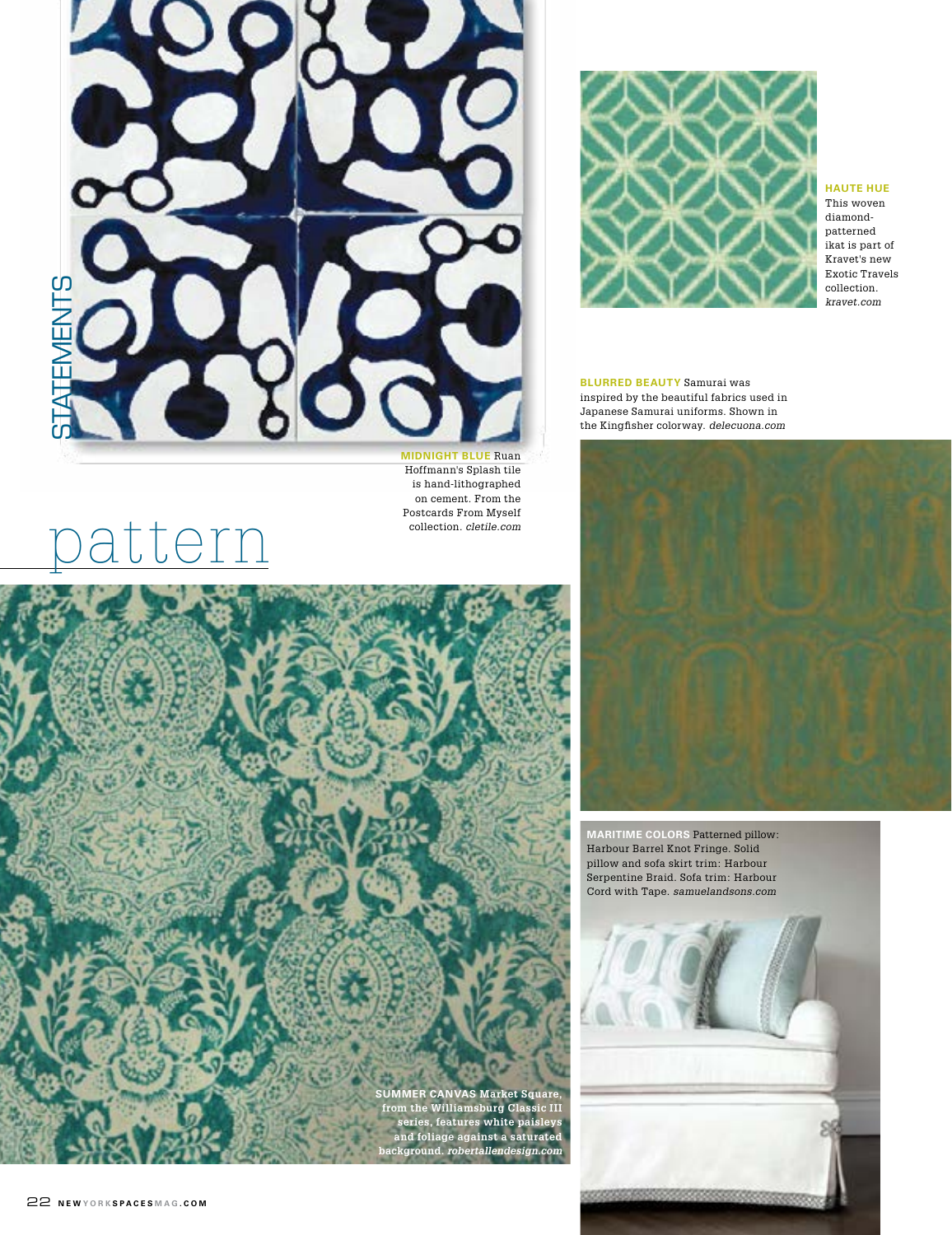

is hand-lithographed on cement. From the Postcards From Myself collection. *cletile.com*



**haute hue** This woven diamondpatterned ikat is part of Kravet's new Exotic Travels collection. *kravet.com*

**blurred beauty** Samurai was inspired by the beautiful fabrics used in Japanese Samurai uniforms. Shown in the Kingfisher colorway. *delecuona.com*



**maritime colors** Patterned pillow: Harbour Barrel Knot Fringe. Solid pillow and sofa skirt trim: Harbour Serpentine Braid. Sofa trim: Harbour Cord with Tape. *samuelandsons.com*



pattern

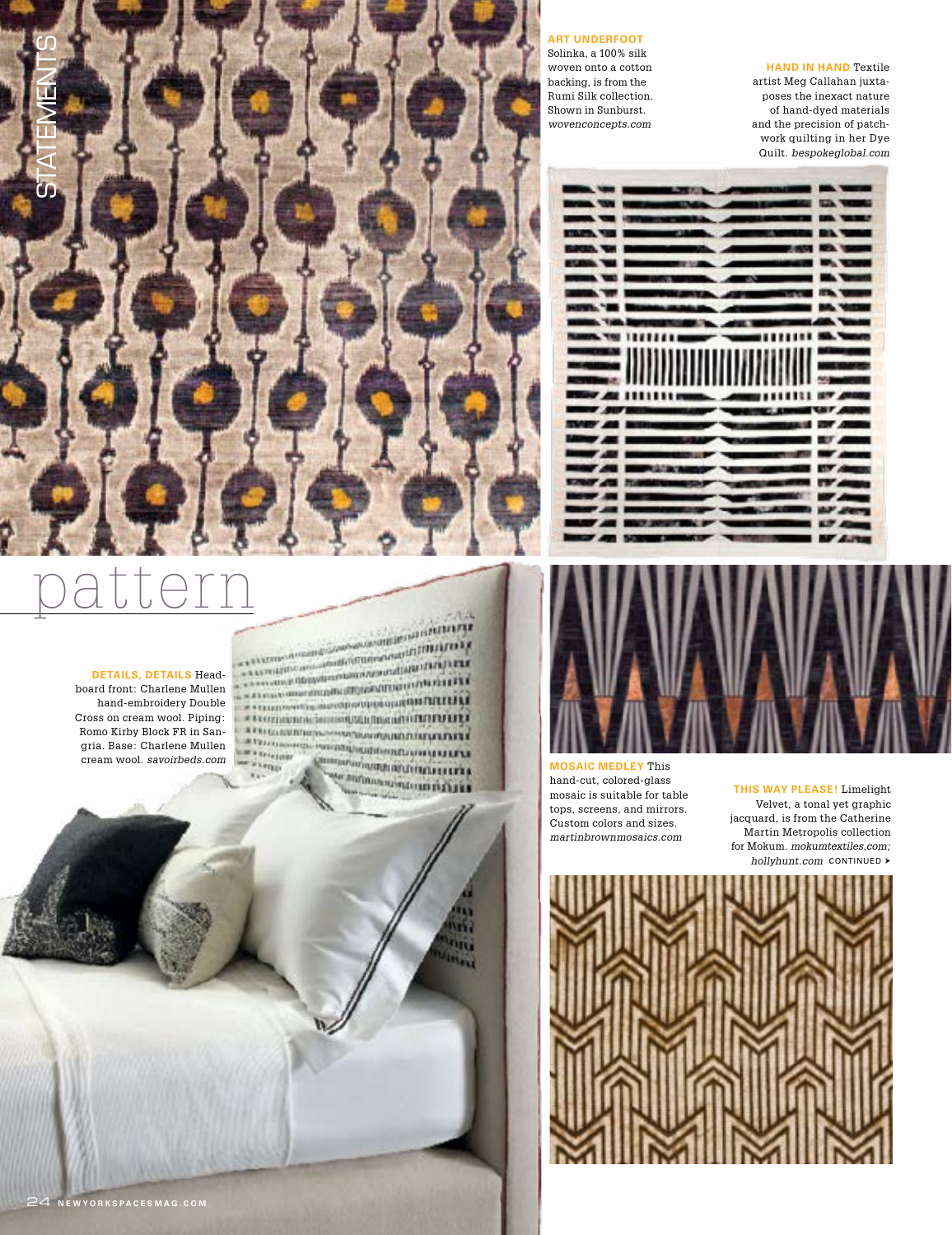

**art underfoot**  Solinka, a 100% silk woven onto a cotton backing, is from the Rumi Silk collection. Shown in Sunburst. *wovenconcepts.com*

### **hand in hand** Textile

artist Meg Callahan juxtaposes the inexact nature of hand-dyed materials and the precision of patchwork quilting in her Dye Quilt. *bespokeglobal.com*

|                    | . .            |
|--------------------|----------------|
|                    |                |
|                    | ▄              |
|                    |                |
|                    |                |
|                    |                |
|                    |                |
|                    |                |
|                    |                |
| ,,,,,,,,,,,,,,,,,, |                |
|                    |                |
|                    | m              |
|                    |                |
|                    | <b>START</b>   |
|                    | m              |
|                    | ▄              |
|                    | -              |
|                    | m              |
|                    |                |
|                    | m              |
|                    |                |
|                    | $\blacksquare$ |
|                    |                |
| W.                 |                |



## **mosaic medley** This hand-cut, colored-glass mosaic is suitable for table tops, screens, and mirrors. Custom colors and sizes. *martinbrownmosaics.com*

**this way please!** Limelight Velvet, a tonal yet graphic jacquard, is from the Catherine Martin Metropolis collection for Mokum. *mokumtextiles.com; hollyhunt.com* CONTINUED >



# pattern

 $+71.5$ 

m

A SAN DISPONSIBILITY OF RESIDENCES IN THE RESIDENCE OF REAL PROPERTY OF REAL PROPERTY OF REAL PROPERTY OF REAL PROPERTY OF REAL PROPERTY OF REAL PROPERTY OF REAL PROPERTY OF REAL PROPERTY OF REAL PROPERTY OF REAL PROPERTY **SALARA DE DE CONTRADICIÓN DE L'ANTIQUES EN EL DE LA CONTRADICIÓN DE L'ANTIQUES EN EL DE LA CONTRADICIÓN DE LA CONTRADICIÓN DE LA CONTRADICIÓN DE LA CONTRADICIÓN DE LA CONTRADICIÓN DE LA CONTRADICIÓN DE LA CONTRADICIÓN DE WEDDING STERN CONSUMING WARD AND THE UPPER We Ericine STARTS Daramangharumana ang pag Birmanumonnifilia** 

### **details, details** Head-

board front: Charlene Mullen hand-embroidery Double Cross on cream wool. Piping: Romo Kirby Block FR in Sangria. Base: Charlene Mullen cream wool. *savoirbeds.com*